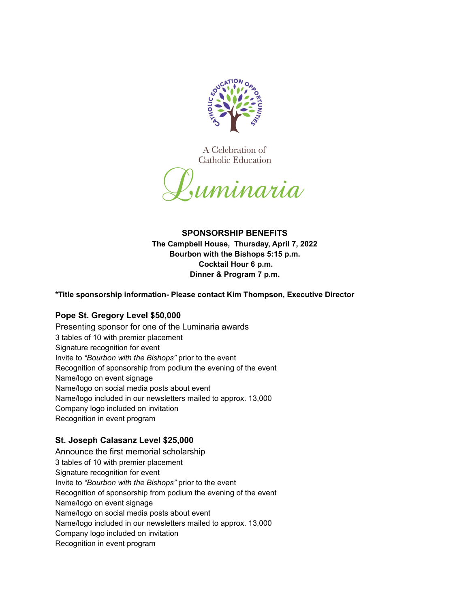

A Celebration of Catholic Education



# **SPONSORSHIP BENEFITS The Campbell House, Thursday, April 7, 2022 Bourbon with the Bishops 5:15 p.m. Cocktail Hour 6 p.m. Dinner & Program 7 p.m.**

**\*Title sponsorship information- Please contact Kim Thompson, Executive Director**

# **Pope St. Gregory Level \$50,000**

Presenting sponsor for one of the Luminaria awards 3 tables of 10 with premier placement Signature recognition for event Invite to *"Bourbon with the Bishops"* prior to the event Recognition of sponsorship from podium the evening of the event Name/logo on event signage Name/logo on social media posts about event Name/logo included in our newsletters mailed to approx. 13,000 Company logo included on invitation Recognition in event program

# **St. Joseph Calasanz Level \$25,000**

Announce the first memorial scholarship 3 tables of 10 with premier placement Signature recognition for event Invite to *"Bourbon with the Bishops"* prior to the event Recognition of sponsorship from podium the evening of the event Name/logo on event signage Name/logo on social media posts about event Name/logo included in our newsletters mailed to approx. 13,000 Company logo included on invitation Recognition in event program